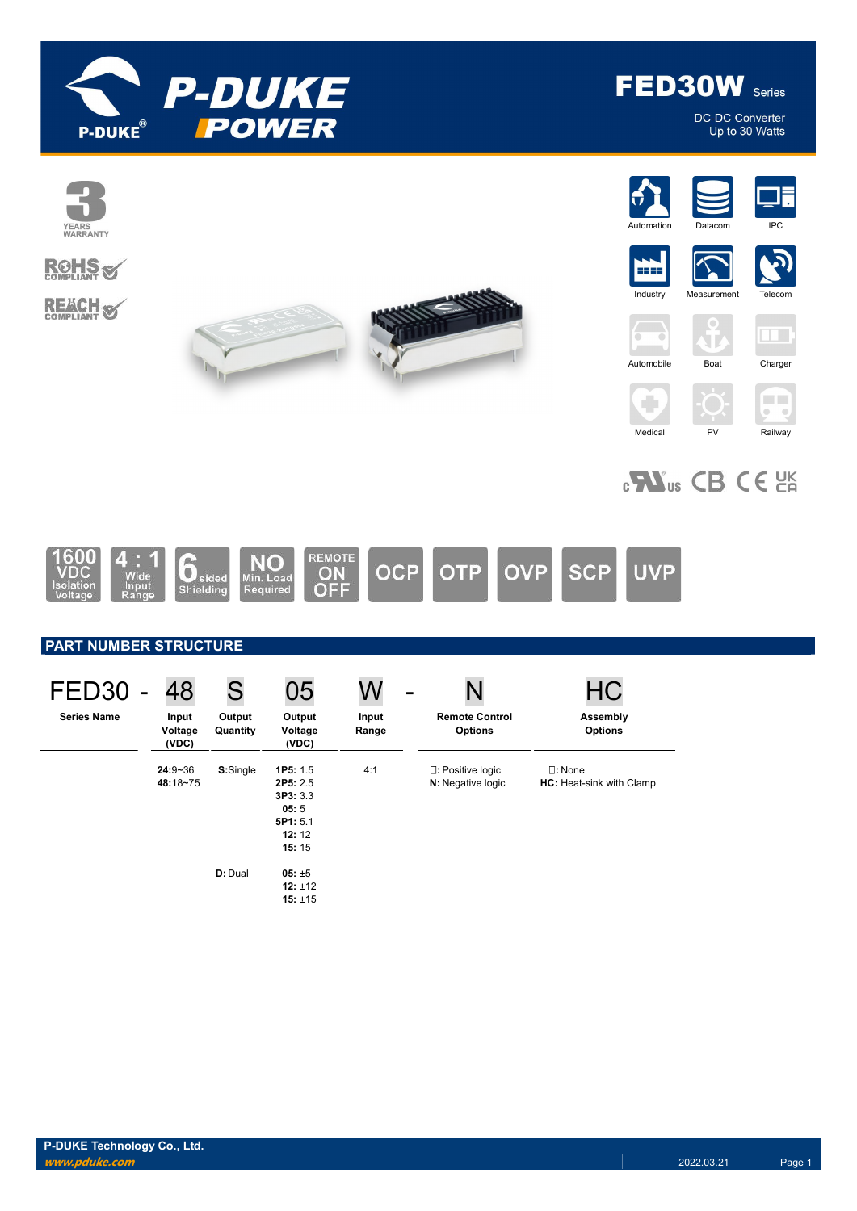



DC-DC Converter<br>Up to 30 Watts





















# $_{c}$ Nus CB CE  $_{c}$



## PART NUMBER STRUCTURE

| FED <sub>30</sub>  | 48                        | S                  | 05                                                                    | W              | -                                       | НC                                                  |
|--------------------|---------------------------|--------------------|-----------------------------------------------------------------------|----------------|-----------------------------------------|-----------------------------------------------------|
| <b>Series Name</b> | Input<br>Voltage<br>(VDC) | Output<br>Quantity | Output<br>Voltage<br>(VDC)                                            | Input<br>Range | <b>Remote Control</b><br><b>Options</b> | Assembly<br><b>Options</b>                          |
|                    | $24:9 - 36$<br>48:18~75   | S:Single           | 1P5: 1.5<br>2P5: 2.5<br>3P3:3.3<br>05:5<br>5P1: 5.1<br>12:12<br>15:15 | 4:1            | □: Positive logic<br>N: Negative logic  | $\square$ : None<br><b>HC:</b> Heat-sink with Clamp |
|                    |                           | D: Dual            | $05: \pm 5$<br>12: $±12$<br>15: $±15$                                 |                |                                         |                                                     |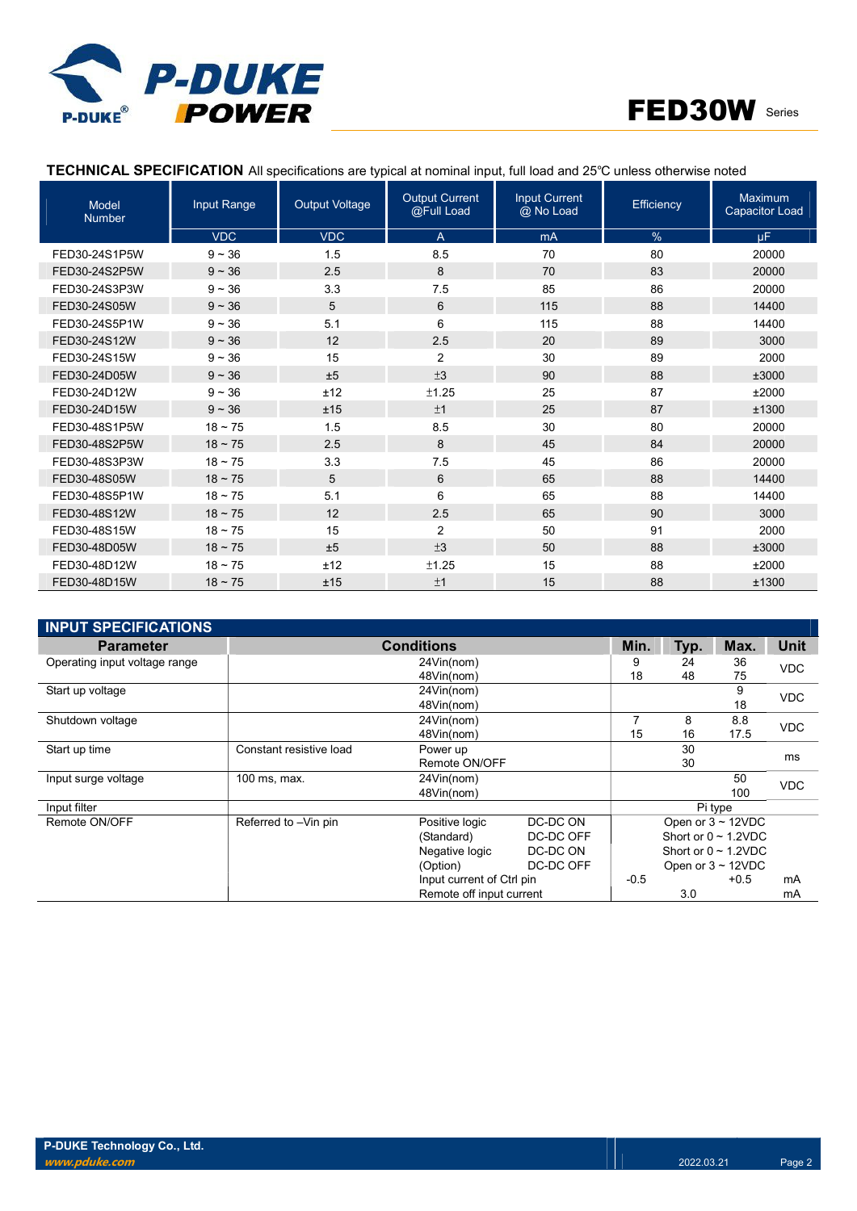



## TECHNICAL SPECIFICATION All specifications are typical at nominal input, full load and 25℃ unless otherwise noted

| <b>Model</b><br><b>Number</b> | Input Range  | <b>Output Voltage</b> | <b>Output Current</b><br>@Full Load | <b>Input Current</b><br>@ No Load | <b>Efficiency</b> | Maximum<br><b>Capacitor Load</b> |
|-------------------------------|--------------|-----------------------|-------------------------------------|-----------------------------------|-------------------|----------------------------------|
|                               | <b>VDC</b>   | <b>VDC</b>            | $\overline{A}$                      | mA                                | $\%$              | <b>uF</b>                        |
| FED30-24S1P5W                 | $9 - 36$     | 1.5                   | 8.5                                 | 70                                | 80                | 20000                            |
| FED30-24S2P5W                 | $9 - 36$     | 2.5                   | 8                                   | 70                                | 83                | 20000                            |
| FED30-24S3P3W                 | $9 - 36$     | 3.3                   | 7.5                                 | 85                                | 86                | 20000                            |
| FED30-24S05W                  | $9 - 36$     | 5                     | 6                                   | 115                               | 88                | 14400                            |
| FED30-24S5P1W                 | $9 - 36$     | 5.1                   | 6                                   | 115                               | 88                | 14400                            |
| FED30-24S12W                  | $9 - 36$     | 12                    | 2.5                                 | 20                                | 89                | 3000                             |
| FED30-24S15W                  | $9 - 36$     | 15                    | $\overline{2}$                      | 30                                | 89                | 2000                             |
| FED30-24D05W                  | $9 - 36$     | ±5                    | ±3                                  | 90                                | 88                | ±3000                            |
| FED30-24D12W                  | $9 - 36$     | ±12                   | ±1.25                               | 25                                | 87                | ±2000                            |
| FED30-24D15W                  | $9 - 36$     | ±15                   | ±1                                  | 25                                | 87                | ±1300                            |
| FED30-48S1P5W                 | $18 \sim 75$ | 1.5                   | 8.5                                 | 30                                | 80                | 20000                            |
| FED30-48S2P5W                 | $18 \sim 75$ | 2.5                   | 8                                   | 45                                | 84                | 20000                            |
| FED30-48S3P3W                 | $18 - 75$    | 3.3                   | 7.5                                 | 45                                | 86                | 20000                            |
| FED30-48S05W                  | $18 \sim 75$ | 5                     | 6                                   | 65                                | 88                | 14400                            |
| FED30-48S5P1W                 | $18 - 75$    | 5.1                   | 6                                   | 65                                | 88                | 14400                            |
| FED30-48S12W                  | $18 \sim 75$ | 12                    | 2.5                                 | 65                                | 90                | 3000                             |
| FED30-48S15W                  | $18 - 75$    | 15                    | $\overline{2}$                      | 50                                | 91                | 2000                             |
| FED30-48D05W                  | $18 \sim 75$ | ±5                    | ±3                                  | 50                                | 88                | ±3000                            |
| FED30-48D12W                  | $18 - 75$    | ±12                   | ±1.25                               | 15                                | 88                | ±2000                            |
| FED30-48D15W                  | $18 - 75$    | ±15                   | ±1                                  | 15                                | 88                | ±1300                            |

| <b>INPUT SPECIFICATIONS</b>   |                          |                           |           |                           |                         |                           |             |  |
|-------------------------------|--------------------------|---------------------------|-----------|---------------------------|-------------------------|---------------------------|-------------|--|
| <b>Parameter</b>              |                          | <b>Conditions</b>         |           | Min.                      | Typ.                    | Max.                      | <b>Unit</b> |  |
| Operating input voltage range |                          | 24Vin(nom)                |           |                           |                         |                           | <b>VDC</b>  |  |
|                               |                          | 48Vin(nom)                |           | 18                        | 48                      | 75                        |             |  |
| Start up voltage              |                          | 24Vin(nom)                |           |                           |                         | 9                         | <b>VDC</b>  |  |
|                               |                          |                           |           | 18                        |                         |                           |             |  |
| Shutdown voltage              |                          | 24Vin(nom)                |           | 7                         | 8                       | 8.8                       | <b>VDC</b>  |  |
|                               |                          | 15                        | 16        | 17.5                      |                         |                           |             |  |
| Start up time                 | Constant resistive load  | Power up                  |           |                           |                         | 30                        |             |  |
|                               | Remote ON/OFF            |                           |           |                           | 30                      |                           | ms          |  |
| Input surge voltage           | 100 ms, max.             | 24Vin(nom)                |           |                           |                         | 50                        | <b>VDC</b>  |  |
|                               |                          | 48Vin(nom)                |           |                           |                         | 100                       |             |  |
| Input filter                  |                          |                           |           |                           |                         | Pi type                   |             |  |
| Remote ON/OFF                 | Referred to -Vin pin     | Positive logic            | DC-DC ON  |                           |                         | Open or $3 \sim 12$ VDC   |             |  |
|                               |                          | (Standard)                | DC-DC OFF |                           |                         | Short or $0 \sim 1.2$ VDC |             |  |
|                               |                          | Negative logic            | DC-DC ON  | Short or $0 \sim 1.2$ VDC |                         |                           |             |  |
|                               |                          | (Option)                  | DC-DC OFF |                           | Open or $3 \sim 12$ VDC |                           |             |  |
|                               |                          | Input current of Ctrl pin |           | $-0.5$<br>$+0.5$          |                         |                           | mA          |  |
|                               | Remote off input current |                           |           | 3.0                       |                         |                           | mA          |  |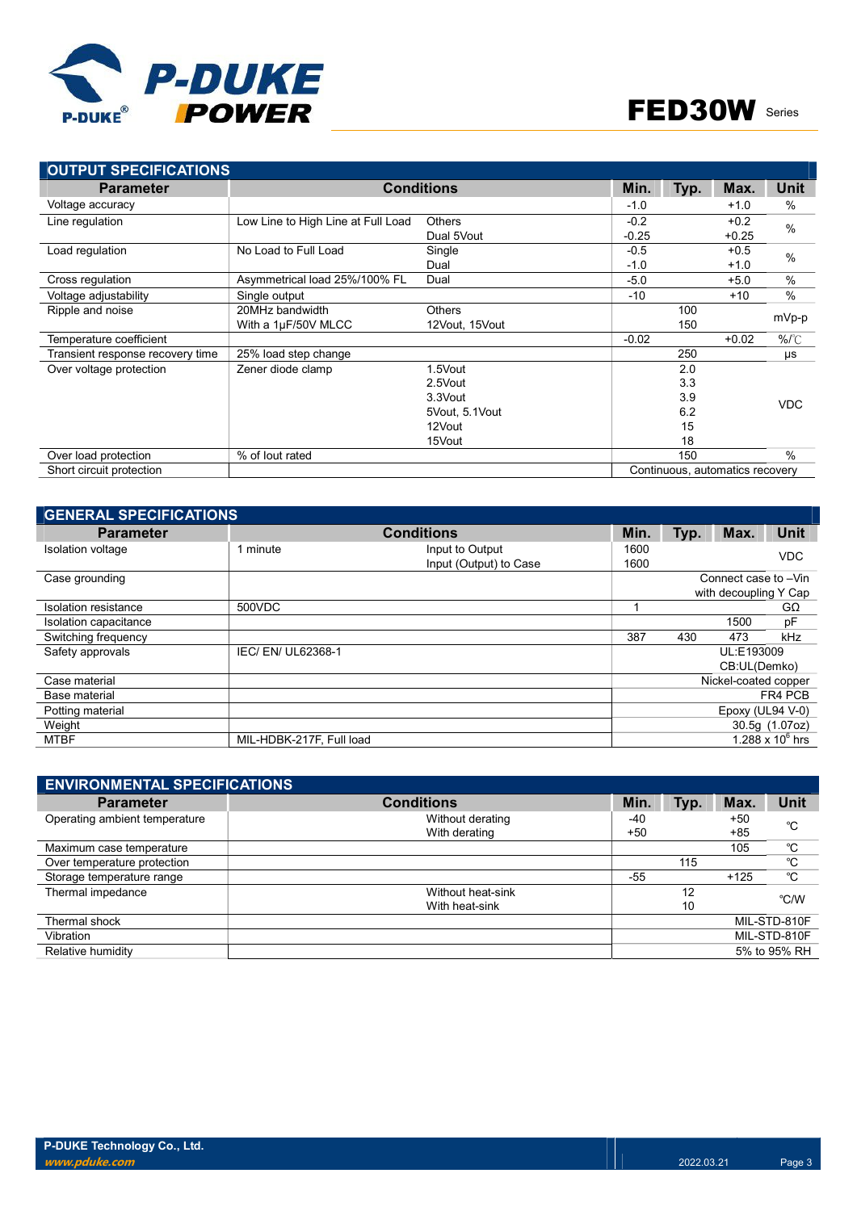

| <b>OUTPUT SPECIFICATIONS</b>     |                                    |                   |         |      |                                 |               |  |
|----------------------------------|------------------------------------|-------------------|---------|------|---------------------------------|---------------|--|
| <b>Parameter</b>                 |                                    | <b>Conditions</b> | Min.    | Typ. | Max.                            | <b>Unit</b>   |  |
| Voltage accuracy                 |                                    |                   | $-1.0$  |      | $+1.0$                          | $\%$          |  |
| Line regulation                  | Low Line to High Line at Full Load | <b>Others</b>     | $-0.2$  |      | $+0.2$                          | %             |  |
|                                  |                                    | Dual 5Vout        | $-0.25$ |      | $+0.25$                         |               |  |
| Load regulation                  | No Load to Full Load               | Single            | $-0.5$  |      | $+0.5$                          | $\frac{0}{0}$ |  |
|                                  |                                    | Dual              | $-1.0$  |      | $+1.0$                          |               |  |
| Cross regulation                 | Asymmetrical load 25%/100% FL      | Dual              | $-5.0$  |      | $+5.0$                          | %             |  |
| Voltage adjustability            | Single output                      |                   | $-10$   |      | $+10$                           | $\frac{0}{0}$ |  |
| Ripple and noise                 | 20MHz bandwidth                    | <b>Others</b>     |         | 100  |                                 |               |  |
|                                  | With a 1µF/50V MLCC                | 12Vout, 15Vout    |         |      | mVp-p                           |               |  |
| Temperature coefficient          |                                    |                   | $-0.02$ |      | $+0.02$                         | $%^{\circ}C$  |  |
| Transient response recovery time | 25% load step change               |                   |         | 250  |                                 | μs            |  |
| Over voltage protection          | Zener diode clamp                  | 1.5Vout           |         | 2.0  |                                 |               |  |
|                                  |                                    | 2.5Vout           |         | 3.3  |                                 |               |  |
|                                  |                                    | 3.3Vout           |         | 3.9  |                                 | <b>VDC</b>    |  |
|                                  |                                    | 5Vout, 5.1Vout    |         | 6.2  |                                 |               |  |
|                                  |                                    | 12Vout            |         | 15   |                                 |               |  |
|                                  |                                    | 15Vout            |         | 18   |                                 |               |  |
| Over load protection             | % of lout rated                    |                   |         | 150  |                                 | $\%$          |  |
| Short circuit protection         |                                    |                   |         |      | Continuous, automatics recovery |               |  |

| <b>GENERAL SPECIFICATIONS</b> |                          |                        |      |      |                       |                    |
|-------------------------------|--------------------------|------------------------|------|------|-----------------------|--------------------|
| <b>Parameter</b>              |                          | <b>Conditions</b>      | Min. | Typ. | Max.                  | Unit               |
| Isolation voltage             | 1 minute                 | Input to Output        | 1600 |      |                       | <b>VDC</b>         |
|                               |                          | Input (Output) to Case | 1600 |      |                       |                    |
| Case grounding                |                          |                        |      |      | Connect case to -Vin  |                    |
|                               |                          |                        |      |      | with decoupling Y Cap |                    |
| Isolation resistance          | 500VDC                   |                        |      |      |                       | $G\Omega$          |
| Isolation capacitance         |                          |                        |      |      | 1500                  | pF                 |
| Switching frequency           |                          |                        | 387  | 430  | 473                   | kHz                |
| Safety approvals              | IEC/ EN/ UL62368-1       |                        |      |      | UL:E193009            |                    |
|                               |                          |                        |      |      | CB:UL(Demko)          |                    |
| Case material                 |                          |                        |      |      | Nickel-coated copper  |                    |
| Base material                 |                          |                        |      |      |                       | FR4 PCB            |
| Potting material              |                          |                        |      |      | Epoxy (UL94 V-0)      |                    |
| Weight                        |                          |                        |      |      |                       | 30.5g (1.07oz)     |
| <b>MTBF</b>                   | MIL-HDBK-217F, Full load |                        |      |      |                       | 1.288 x $10^6$ hrs |

| <b>ENVIRONMENTAL SPECIFICATIONS</b> |                   |       |      |        |              |
|-------------------------------------|-------------------|-------|------|--------|--------------|
| <b>Parameter</b>                    | <b>Conditions</b> | Min.  | Typ. | Max.   | <b>Unit</b>  |
| Operating ambient temperature       | Without derating  | -40   |      | +50    | °C           |
|                                     | With derating     | $+50$ |      | $+85$  |              |
| Maximum case temperature            |                   |       |      | 105    | °C           |
| Over temperature protection         |                   |       | 115  |        | °C           |
| Storage temperature range           |                   | $-55$ |      | $+125$ | °C           |
| Thermal impedance                   | Without heat-sink |       | 12   |        | °C/W         |
|                                     | With heat-sink    |       | 10   |        |              |
| Thermal shock                       |                   |       |      |        | MIL-STD-810F |
| Vibration                           |                   |       |      |        | MIL-STD-810F |
| Relative humidity                   |                   |       |      |        | 5% to 95% RH |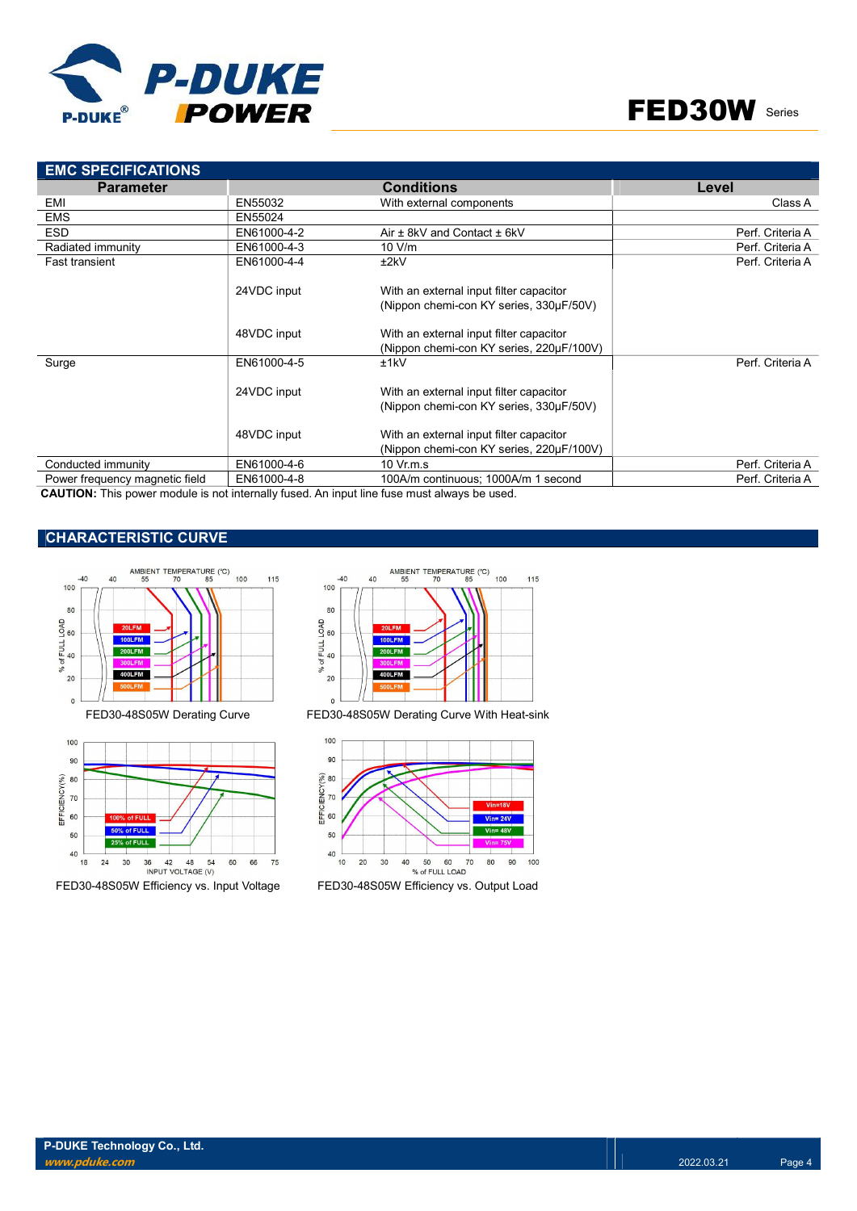

| <b>EMC SPECIFICATIONS</b>      |             |                                          |                  |
|--------------------------------|-------------|------------------------------------------|------------------|
| <b>Parameter</b>               |             | <b>Conditions</b>                        | Level            |
| EMI                            | EN55032     | With external components                 | Class A          |
| <b>EMS</b>                     | EN55024     |                                          |                  |
| <b>ESD</b>                     | EN61000-4-2 | Air $\pm$ 8kV and Contact $\pm$ 6kV      | Perf. Criteria A |
| Radiated immunity              | EN61000-4-3 | 10 V/m                                   | Perf. Criteria A |
| <b>Fast transient</b>          | EN61000-4-4 | ±2kV                                     | Perf. Criteria A |
|                                | 24VDC input | With an external input filter capacitor  |                  |
|                                |             | (Nippon chemi-con KY series, 330µF/50V)  |                  |
|                                | 48VDC input | With an external input filter capacitor  |                  |
|                                |             | (Nippon chemi-con KY series, 220µF/100V) |                  |
| Surge                          | EN61000-4-5 | ±1kV                                     | Perf. Criteria A |
|                                | 24VDC input | With an external input filter capacitor  |                  |
|                                |             | (Nippon chemi-con KY series, 330µF/50V)  |                  |
|                                | 48VDC input | With an external input filter capacitor  |                  |
|                                |             | (Nippon chemi-con KY series, 220µF/100V) |                  |
| Conducted immunity             | EN61000-4-6 | $10 \,$ Vr.m.s                           | Perf. Criteria A |
| Power frequency magnetic field | EN61000-4-8 | 100A/m continuous; 1000A/m 1 second      | Perf. Criteria A |

CAUTION: This power module is not internally fused. An input line fuse must always be used.

## CHARACTERISTIC CURVE



FED30-48S05W Efficiency vs. Input Voltage FED30-48S05W Efficiency vs. Output Load



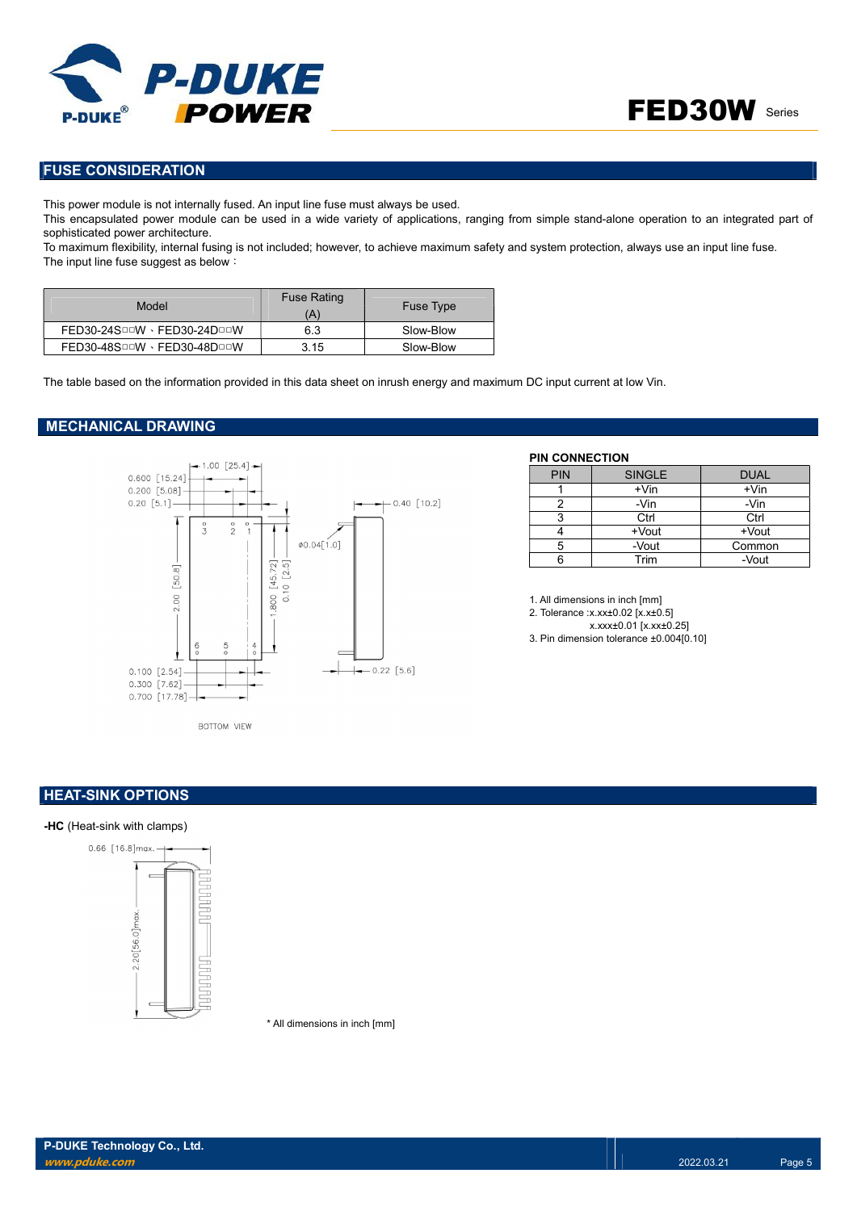

## FUSE CONSIDERATION

This power module is not internally fused. An input line fuse must always be used.

This encapsulated power module can be used in a wide variety of applications, ranging from simple stand-alone operation to an integrated part of sophisticated power architecture.

To maximum flexibility, internal fusing is not included; however, to achieve maximum safety and system protection, always use an input line fuse. The input line fuse suggest as below:

| Model                       | <b>Fuse Rating</b><br>(A) | <b>Fuse Type</b> |
|-----------------------------|---------------------------|------------------|
| FED30-24SOOW · FED30-24DOOW | 6.3                       | Slow-Blow        |
| FED30-48SOOW · FED30-48DOOW | 3.15                      | Slow-Blow        |

The table based on the information provided in this data sheet on inrush energy and maximum DC input current at low Vin.

#### MECHANICAL DRAWING



#### PIN CONNECTION

| <b>PIN</b> | <b>SINGLE</b> | <b>DUAL</b> |
|------------|---------------|-------------|
|            | $+V$ in       | $+V$ in     |
|            | -Vin          | -Vin        |
| 3          | Ctrl          | Ctrl        |
|            | +Vout         | +Vout       |
| 5          | -Vout         | Common      |
|            | Trim          | -Vout       |

1. All dimensions in inch [mm]

2. Tolerance :x.xx±0.02 [x.x±0.5]

x.xxx±0.01 [x.xx±0.25] 3. Pin dimension tolerance ±0.004[0.10]

### **HEAT-SINK OPTIONS**

#### -HC (Heat-sink with clamps)



\* All dimensions in inch [mm]

P-DUKE Technology Co., Ltd. www.pduke.com 2022.03.21 Page 5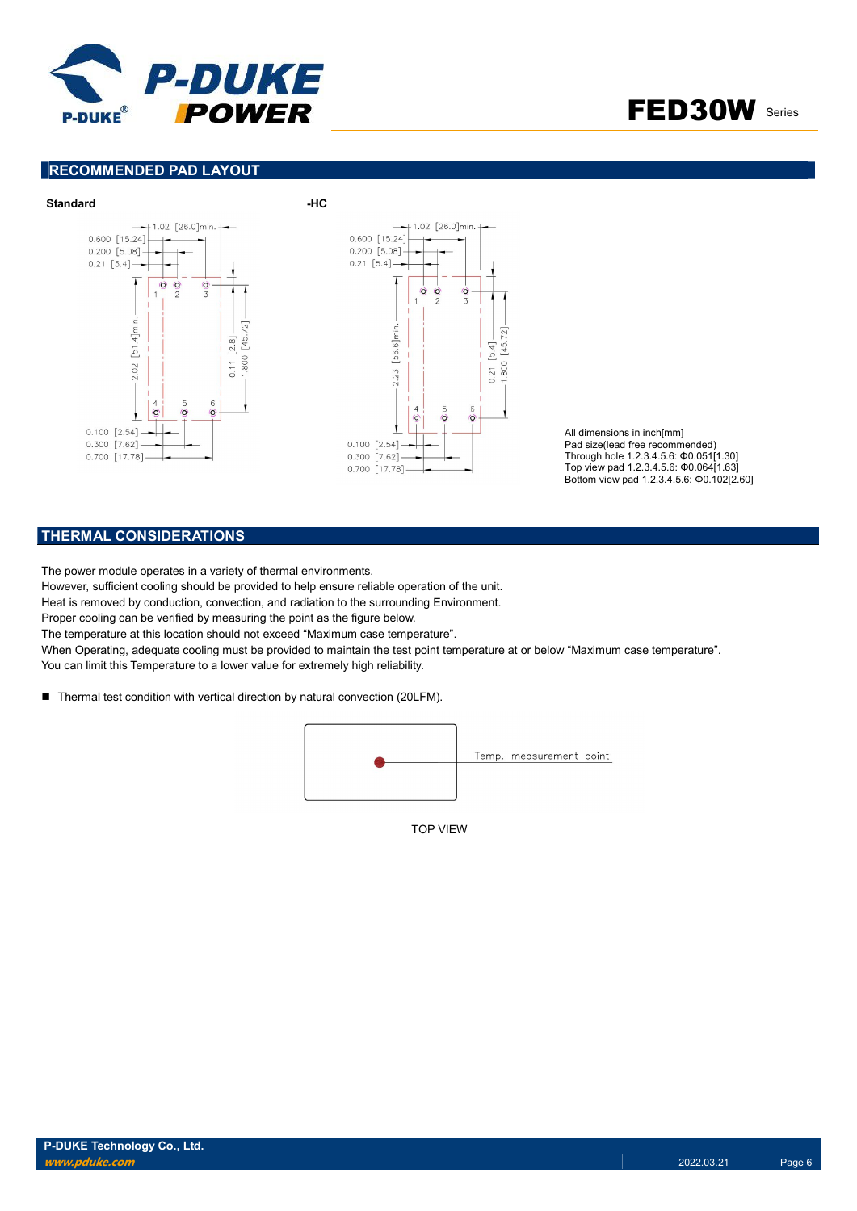

FED30W Series

## RECOMMENDED PAD LAYOUT



All dimensions in inch[mm] Pad size(lead free recommended) Through hole 1.2.3.4.5.6: Φ0.051[1.30] Top view pad 1.2.3.4.5.6: Φ0.064[1.63] Bottom view pad 1.2.3.4.5.6: Φ0.102[2.60]

## THERMAL CONSIDERATIONS

The power module operates in a variety of thermal environments.

However, sufficient cooling should be provided to help ensure reliable operation of the unit.

Heat is removed by conduction, convection, and radiation to the surrounding Environment.

Proper cooling can be verified by measuring the point as the figure below.

The temperature at this location should not exceed "Maximum case temperature".

When Operating, adequate cooling must be provided to maintain the test point temperature at or below "Maximum case temperature".

You can limit this Temperature to a lower value for extremely high reliability.

■ Thermal test condition with vertical direction by natural convection (20LFM).



TOP VIEW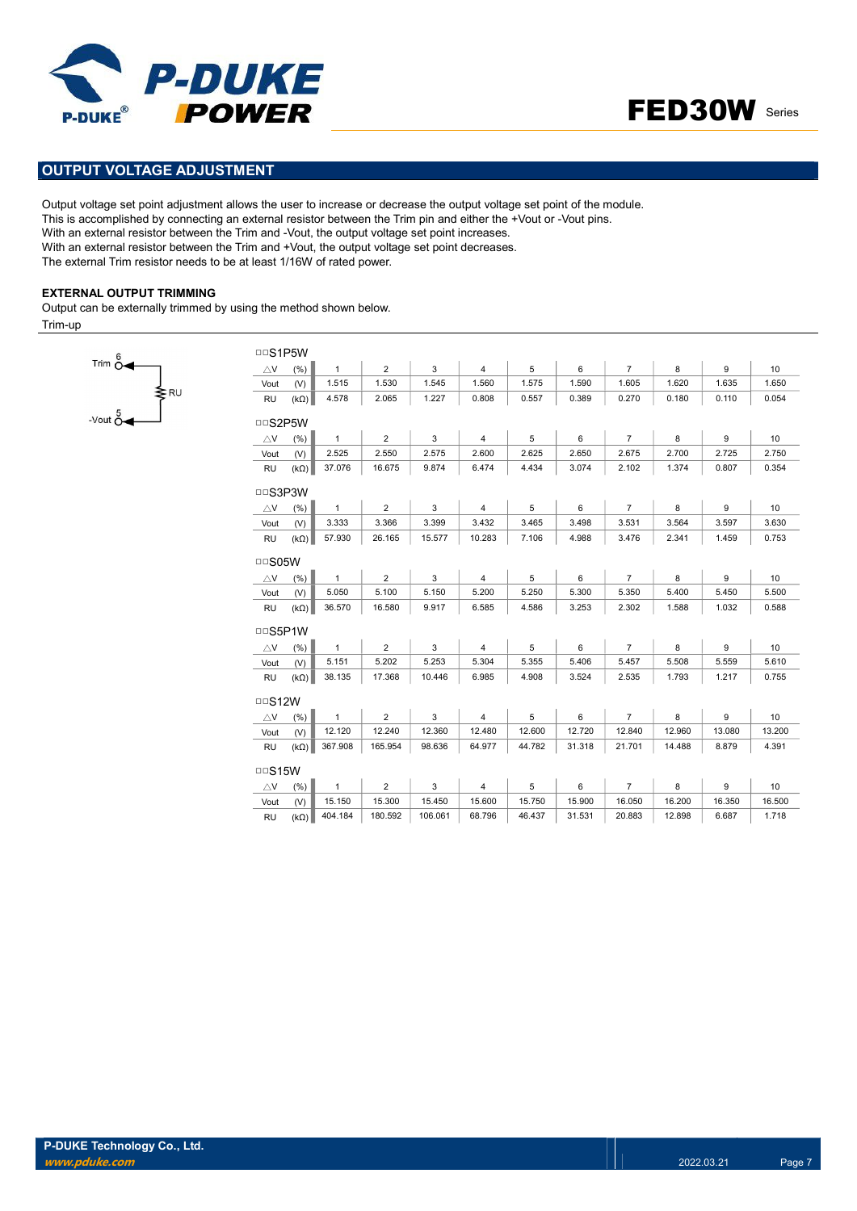



## OUTPUT VOLTAGE ADJUSTMENT

Output voltage set point adjustment allows the user to increase or decrease the output voltage set point of the module. This is accomplished by connecting an external resistor between the Trim pin and either the +Vout or -Vout pins. With an external resistor between the Trim and -Vout, the output voltage set point increases. With an external resistor between the Trim and +Vout, the output voltage set point decreases. The external Trim resistor needs to be at least 1/16W of rated power.

#### EXTERNAL OUTPUT TRIMMING

 $\frac{1}{\text{sec} \times \text{cot} \times \text{cot} \times \text{cot} \times \text{cot} \times \text{cot} \times \text{cot} \times \text{cot} \times \text{cot} \times \text{cot} \times \text{cot} \times \text{cot} \times \text{cot} \times \text{cot} \times \text{cot} \times \text{cot} \times \text{cot} \times \text{cot} \times \text{cot} \times \text{cot} \times \text{cot} \times \text{cot} \times \text{cot} \times \text{cot} \times \text{cot} \times \text{cot} \times \text{cot} \times \text{cot} \times \text{cot} \times \text{cot} \times \text{cot}$ 

Trim  $\stackrel{6}{\sim}$ 

Output can be externally trimmed by using the method shown below.

Trim-up

| <b>DDS1P5W</b> |             |              |                |         |                |        |        |                |        |        |        |
|----------------|-------------|--------------|----------------|---------|----------------|--------|--------|----------------|--------|--------|--------|
| $\triangle$ V  | (% )        | $\mathbf{1}$ | $\overline{2}$ | 3       | $\overline{4}$ | 5      | 6      | $\overline{7}$ | 8      | 9      | 10     |
| Vout           | (V)         | 1.515        | 1.530          | 1.545   | 1.560          | 1.575  | 1.590  | 1.605          | 1.620  | 1.635  | 1.650  |
| <b>RU</b>      | $(k\Omega)$ | 4.578        | 2.065          | 1.227   | 0.808          | 0.557  | 0.389  | 0.270          | 0.180  | 0.110  | 0.054  |
| □□S2P5W        |             |              |                |         |                |        |        |                |        |        |        |
| $\triangle$ V  | (% )        | $\mathbf{1}$ | $\overline{2}$ | 3       | 4              | 5      | 6      | $\overline{7}$ | 8      | 9      | 10     |
| Vout           | (V)         | 2.525        | 2.550          | 2.575   | 2.600          | 2.625  | 2.650  | 2.675          | 2.700  | 2.725  | 2.750  |
| <b>RU</b>      | $(k\Omega)$ | 37.076       | 16.675         | 9.874   | 6.474          | 4.434  | 3.074  | 2.102          | 1.374  | 0.807  | 0.354  |
| <b>DDS3P3W</b> |             |              |                |         |                |        |        |                |        |        |        |
| $\triangle$ V  | (% )        | $\mathbf{1}$ | $\overline{2}$ | 3       | 4              | 5      | 6      | $\overline{7}$ | 8      | 9      | 10     |
| Vout           | (V)         | 3.333        | 3.366          | 3.399   | 3.432          | 3.465  | 3.498  | 3.531          | 3.564  | 3.597  | 3.630  |
| <b>RU</b>      | $(k\Omega)$ | 57.930       | 26.165         | 15.577  | 10.283         | 7.106  | 4.988  | 3.476          | 2.341  | 1.459  | 0.753  |
| $\Box$ S05W    |             |              |                |         |                |        |        |                |        |        |        |
| $\triangle$ V  | (% )        | $\mathbf{1}$ | $\overline{2}$ | 3       | $\overline{4}$ | 5      | 6      | $\overline{7}$ | 8      | 9      | 10     |
| Vout           | (V)         | 5.050        | 5.100          | 5.150   | 5.200          | 5.250  | 5.300  | 5.350          | 5.400  | 5.450  | 5.500  |
| <b>RU</b>      | $(k\Omega)$ | 36.570       | 16.580         | 9.917   | 6.585          | 4.586  | 3.253  | 2.302          | 1.588  | 1.032  | 0.588  |
| □□S5P1W        |             |              |                |         |                |        |        |                |        |        |        |
| $\triangle$ V  | (% )        | $\mathbf{1}$ | 2              | 3       | 4              | 5      | 6      | $\overline{7}$ | 8      | 9      | 10     |
| Vout           | (V)         | 5.151        | 5.202          | 5.253   | 5.304          | 5.355  | 5.406  | 5.457          | 5.508  | 5.559  | 5.610  |
| <b>RU</b>      | $(k\Omega)$ | 38.135       | 17.368         | 10.446  | 6.985          | 4.908  | 3.524  | 2.535          | 1.793  | 1.217  | 0.755  |
| $\Box$ S12W    |             |              |                |         |                |        |        |                |        |        |        |
| $\triangle$ V  | (%)         | $\mathbf{1}$ | $\overline{2}$ | 3       | 4              | 5      | 6      | $\overline{7}$ | 8      | 9      | 10     |
| Vout           | (V)         | 12.120       | 12.240         | 12.360  | 12.480         | 12.600 | 12.720 | 12.840         | 12.960 | 13.080 | 13.200 |
| <b>RU</b>      | $(k\Omega)$ | 367.908      | 165.954        | 98.636  | 64.977         | 44.782 | 31.318 | 21.701         | 14.488 | 8.879  | 4.391  |
| $\Box$ S15W    |             |              |                |         |                |        |        |                |        |        |        |
| $\triangle$ V  | (% )        | $\mathbf{1}$ | $\overline{2}$ | 3       | $\overline{4}$ | 5      | 6      | $\overline{7}$ | 8      | 9      | 10     |
| Vout           | (V)         | 15.150       | 15.300         | 15.450  | 15.600         | 15.750 | 15.900 | 16.050         | 16.200 | 16.350 | 16.500 |
| <b>RU</b>      | $(k\Omega)$ | 404.184      | 180.592        | 106.061 | 68.796         | 46.437 | 31.531 | 20.883         | 12.898 | 6.687  | 1.718  |